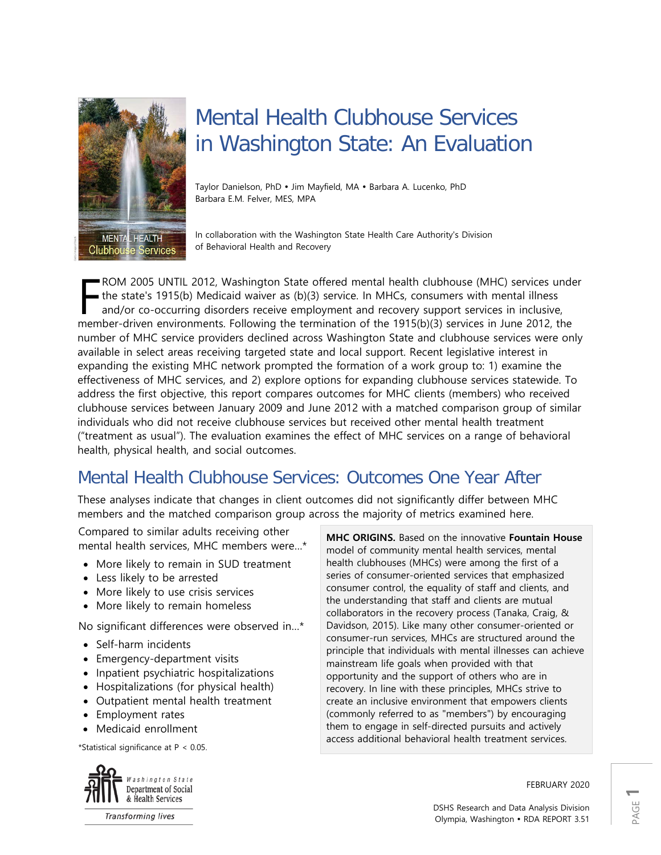

# Mental Health Clubhouse Services in Washington State: An Evaluation

Taylor Danielson, PhD · Jim Mayfield, MA · Barbara A. Lucenko, PhD Barbara E.M. Felver, MES, MPA

In collaboration with the Washington State Health Care Authority's Division of Behavioral Health and Recovery

ROM 2005 UNTIL 2012, Washington State offered mental health clubhouse (MHC) services under the state's 1915(b) Medicaid waiver as (b)(3) service. In MHCs, consumers with mental illness and/or co-occurring disorders receive employment and recovery support services in inclusive, ROM 2005 UNTIL 2012, Washington State offered mental health clubhouse (MHC) services unde<br>the state's 1915(b) Medicaid waiver as (b)(3) service. In MHCs, consumers with mental illness<br>and/or co-occurring disorders receive number of MHC service providers declined across Washington State and clubhouse services were only available in select areas receiving targeted state and local support. Recent legislative interest in expanding the existing MHC network prompted the formation of a work group to: 1) examine the effectiveness of MHC services, and 2) explore options for expanding clubhouse services statewide. To address the first objective, this report compares outcomes for MHC clients (members) who received clubhouse services between January 2009 and June 2012 with a matched comparison group of similar individuals who did not receive clubhouse services but received other mental health treatment ("treatment as usual"). The evaluation examines the effect of MHC services on a range of behavioral health, physical health, and social outcomes.

## Mental Health Clubhouse Services: Outcomes One Year After

These analyses indicate that changes in client outcomes did not significantly differ between MHC members and the matched comparison group across the majority of metrics examined here.

Compared to similar adults receiving other mental health services, MHC members were…\*

- More likely to remain in SUD treatment
- Less likely to be arrested
- More likely to use crisis services
- More likely to remain homeless

No significant differences were observed in…\*

- Self-harm incidents
- Emergency-department visits
- Inpatient psychiatric hospitalizations
- Hospitalizations (for physical health)
- Outpatient mental health treatment
- Employment rates
- Medicaid enrollment

\*Statistical significance at P < 0.05.



**Transforming lives** 

**MHC ORIGINS.** Based on the innovative **Fountain House** model of community mental health services, mental health clubhouses (MHCs) were among the first of a series of consumer-oriented services that emphasized consumer control, the equality of staff and clients, and the understanding that staff and clients are mutual collaborators in the recovery process (Tanaka, Craig, & Davidson, 2015). Like many other consumer-oriented or consumer-run services, MHCs are structured around the principle that individuals with mental illnesses can achieve mainstream life goals when provided with that opportunity and the support of others who are in recovery. In line with these principles, MHCs strive to create an inclusive environment that empowers clients (commonly referred to as "members") by encouraging them to engage in self-directed pursuits and actively access additional behavioral health treatment services.

FEBRUARY 2020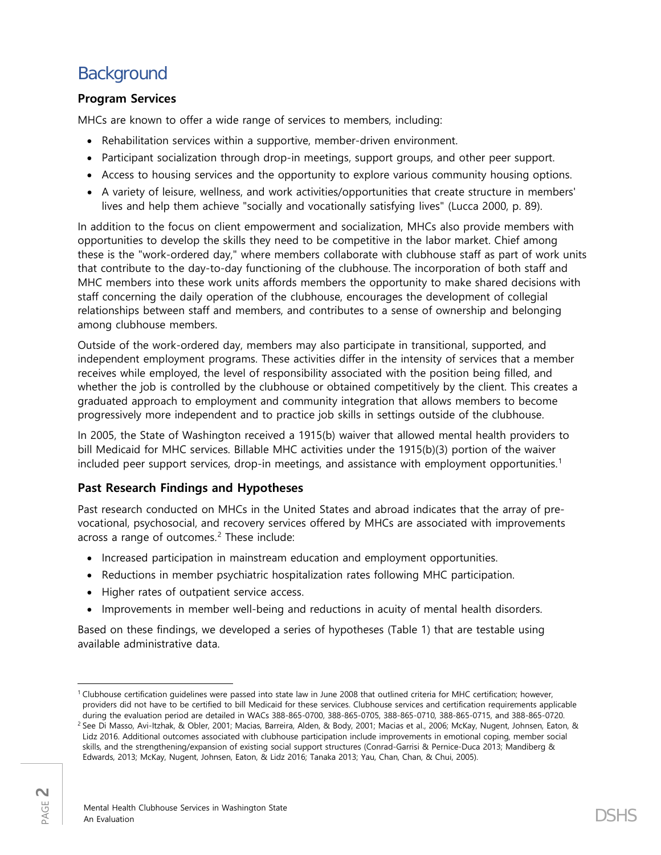## **Background**

### **Program Services**

MHCs are known to offer a wide range of services to members, including:

- Rehabilitation services within a supportive, member-driven environment.
- Participant socialization through drop-in meetings, support groups, and other peer support.
- Access to housing services and the opportunity to explore various community housing options.
- A variety of leisure, wellness, and work activities/opportunities that create structure in members' lives and help them achieve "socially and vocationally satisfying lives" (Lucca 2000, p. 89).

In addition to the focus on client empowerment and socialization, MHCs also provide members with opportunities to develop the skills they need to be competitive in the labor market. Chief among these is the "work-ordered day," where members collaborate with clubhouse staff as part of work units that contribute to the day-to-day functioning of the clubhouse. The incorporation of both staff and MHC members into these work units affords members the opportunity to make shared decisions with staff concerning the daily operation of the clubhouse, encourages the development of collegial relationships between staff and members, and contributes to a sense of ownership and belonging among clubhouse members.

Outside of the work-ordered day, members may also participate in transitional, supported, and independent employment programs. These activities differ in the intensity of services that a member receives while employed, the level of responsibility associated with the position being filled, and whether the job is controlled by the clubhouse or obtained competitively by the client. This creates a graduated approach to employment and community integration that allows members to become progressively more independent and to practice job skills in settings outside of the clubhouse.

In 2005, the State of Washington received a 1915(b) waiver that allowed mental health providers to bill Medicaid for MHC services. Billable MHC activities under the 1915(b)(3) portion of the waiver included peer support services, drop-in meetings, and assistance with employment opportunities.<sup>[1](#page-1-0)</sup>

### **Past Research Findings and Hypotheses**

Past research conducted on MHCs in the United States and abroad indicates that the array of prevocational, psychosocial, and recovery services offered by MHCs are associated with improvements across a range of outcomes.<sup>[2](#page-1-1)</sup> These include:

- Increased participation in mainstream education and employment opportunities.
- Reductions in member psychiatric hospitalization rates following MHC participation.
- Higher rates of outpatient service access.
- Improvements in member well-being and reductions in acuity of mental health disorders.

Based on these findings, we developed a series of hypotheses (Table 1) that are testable using available administrative data.

<span id="page-1-0"></span> $\overline{\phantom{a}}$ <sup>1</sup> Clubhouse certification guidelines were passed into state law in June 2008 that outlined criteria for MHC certification; however, providers did not have to be certified to bill Medicaid for these services. Clubhouse services and certification requirements applicable during the evaluation period are detailed in WACs 388-865-0700, 388-865-0705, 388-865-0710, 388-865-0715, and 388-865-0720.

<span id="page-1-1"></span><sup>&</sup>lt;sup>2</sup> See Di Masso, Avi-Itzhak, & Obler, 2001; Macias, Barreira, Alden, & Body, 2001; Macias et al., 2006; McKay, Nugent, Johnsen, Eaton, & Lidz 2016. Additional outcomes associated with clubhouse participation include improvements in emotional coping, member social skills, and the strengthening/expansion of existing social support structures (Conrad-Garrisi & Pernice-Duca 2013; Mandiberg & Edwards, 2013; McKay, Nugent, Johnsen, Eaton, & Lidz 2016; Tanaka 2013; Yau, Chan, Chan, & Chui, 2005).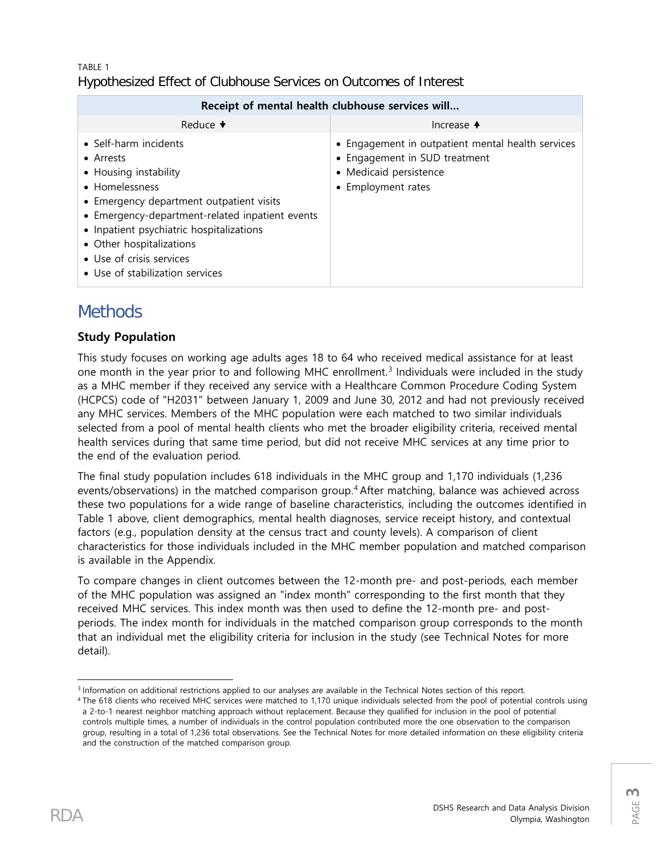### TABLE 1 Hypothesized Effect of Clubhouse Services on Outcomes of Interest

| Receipt of mental health clubhouse services will                                                                                                                                                                                                                                                                    |                                                                                                                                    |  |  |  |  |
|---------------------------------------------------------------------------------------------------------------------------------------------------------------------------------------------------------------------------------------------------------------------------------------------------------------------|------------------------------------------------------------------------------------------------------------------------------------|--|--|--|--|
| Reduce $\blacktriangleright$                                                                                                                                                                                                                                                                                        | Increase $\triangle$                                                                                                               |  |  |  |  |
| • Self-harm incidents<br>• Arrests<br>• Housing instability<br>• Homelessness<br>• Emergency department outpatient visits<br>• Emergency-department-related inpatient events<br>• Inpatient psychiatric hospitalizations<br>• Other hospitalizations<br>• Use of crisis services<br>• Use of stabilization services | • Engagement in outpatient mental health services<br>• Engagement in SUD treatment<br>• Medicaid persistence<br>• Employment rates |  |  |  |  |

## **Methods**

## **Study Population**

This study focuses on working age adults ages 18 to 64 who received medical assistance for at least one month in the year prior to and following MHC enrollment.<sup>[3](#page-2-0)</sup> Individuals were included in the study as a MHC member if they received any service with a Healthcare Common Procedure Coding System (HCPCS) code of "H2031" between January 1, 2009 and June 30, 2012 and had not previously received any MHC services. Members of the MHC population were each matched to two similar individuals selected from a pool of mental health clients who met the broader eligibility criteria, received mental health services during that same time period, but did not receive MHC services at any time prior to the end of the evaluation period.

The final study population includes 618 individuals in the MHC group and 1,170 individuals (1,236 events/observations) in the matched comparison group.[4](#page-2-1) After matching, balance was achieved across these two populations for a wide range of baseline characteristics, including the outcomes identified in Table 1 above, client demographics, mental health diagnoses, service receipt history, and contextual factors (e.g., population density at the census tract and county levels). A comparison of client characteristics for those individuals included in the MHC member population and matched comparison is available in the Appendix.

To compare changes in client outcomes between the 12-month pre- and post-periods, each member of the MHC population was assigned an "index month" corresponding to the first month that they received MHC services. This index month was then used to define the 12-month pre- and postperiods. The index month for individuals in the matched comparison group corresponds to the month that an individual met the eligibility criteria for inclusion in the study (see Technical Notes for more detail).

 $\overline{\phantom{a}}$ <sup>3</sup> Information on additional restrictions applied to our analyses are available in the Technical Notes section of this report.

<span id="page-2-1"></span><span id="page-2-0"></span><sup>4</sup> The 618 clients who received MHC services were matched to 1,170 unique individuals selected from the pool of potential controls using a 2-to-1 nearest neighbor matching approach without replacement. Because they qualified for inclusion in the pool of potential controls multiple times, a number of individuals in the control population contributed more the one observation to the comparison group, resulting in a total of 1,236 total observations. See the Technical Notes for more detailed information on these eligibility criteria and the construction of the matched comparison group.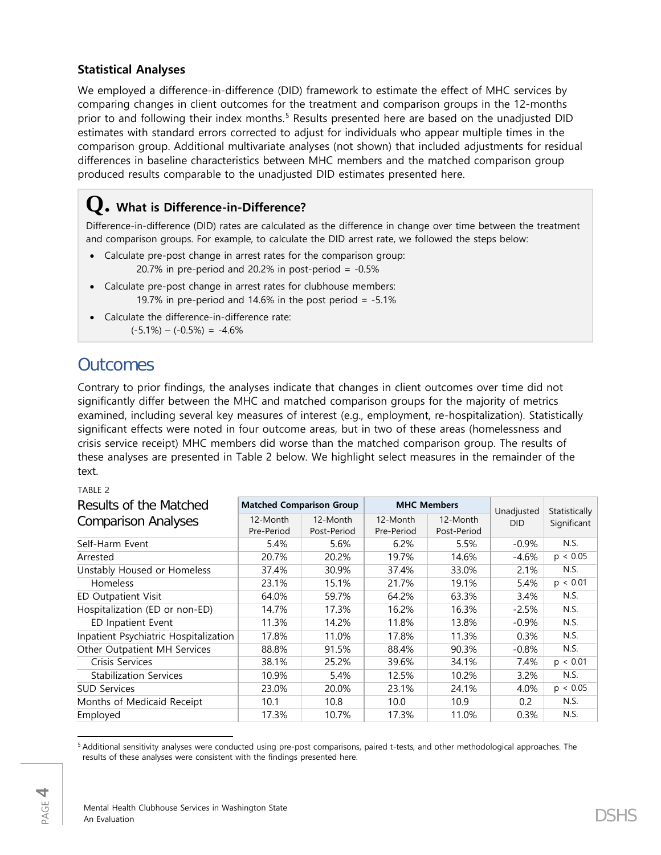### **Statistical Analyses**

We employed a difference-in-difference (DID) framework to estimate the effect of MHC services by comparing changes in client outcomes for the treatment and comparison groups in the 12-months prior to and following their index months.<sup>[5](#page-3-0)</sup> Results presented here are based on the unadjusted DID estimates with standard errors corrected to adjust for individuals who appear multiple times in the comparison group. Additional multivariate analyses (not shown) that included adjustments for residual differences in baseline characteristics between MHC members and the matched comparison group produced results comparable to the unadjusted DID estimates presented here.

## **Q. What is Difference-in-Difference?**

Difference-in-difference (DID) rates are calculated as the difference in change over time between the treatment and comparison groups. For example, to calculate the DID arrest rate, we followed the steps below:

- Calculate pre-post change in arrest rates for the comparison group: 20.7% in pre-period and 20.2% in post-period =  $-0.5%$
- Calculate pre-post change in arrest rates for clubhouse members: 19.7% in pre-period and 14.6% in the post period  $= -5.1\%$
- Calculate the difference-in-difference rate:  $(-5.1\%) - (-0.5\%) = -4.6\%$

## **Outcomes**

Contrary to prior findings, the analyses indicate that changes in client outcomes over time did not significantly differ between the MHC and matched comparison groups for the majority of metrics examined, including several key measures of interest (e.g., employment, re-hospitalization). Statistically significant effects were noted in four outcome areas, but in two of these areas (homelessness and crisis service receipt) MHC members did worse than the matched comparison group. The results of these analyses are presented in Table 2 below. We highlight select measures in the remainder of the text.

TABLE 2

| Results of the Matched                | <b>Matched Comparison Group</b> |             | <b>MHC Members</b> |             | Unadjusted | Statistically |
|---------------------------------------|---------------------------------|-------------|--------------------|-------------|------------|---------------|
| <b>Comparison Analyses</b>            | 12-Month                        | 12-Month    | 12-Month           | 12-Month    | <b>DID</b> | Significant   |
|                                       | Pre-Period                      | Post-Period | Pre-Period         | Post-Period |            |               |
| Self-Harm Event                       | 5.4%                            | 5.6%        | 6.2%               | 5.5%        | $-0.9%$    | N.S.          |
| Arrested                              | 20.7%                           | 20.2%       | 19.7%              | 14.6%       | $-4.6%$    | p < 0.05      |
| Unstably Housed or Homeless           | 37.4%                           | 30.9%       | 37.4%              | 33.0%       | 2.1%       | N.S.          |
| <b>Homeless</b>                       | 23.1%                           | 15.1%       | 21.7%              | 19.1%       | 5.4%       | p < 0.01      |
| <b>ED Outpatient Visit</b>            | 64.0%                           | 59.7%       | 64.2%              | 63.3%       | 3.4%       | N.S.          |
| Hospitalization (ED or non-ED)        | 14.7%                           | 17.3%       | 16.2%              | 16.3%       | $-2.5%$    | N.S.          |
| ED Inpatient Event                    | 11.3%                           | 14.2%       | 11.8%              | 13.8%       | $-0.9\%$   | N.S.          |
| Inpatient Psychiatric Hospitalization | 17.8%                           | 11.0%       | 17.8%              | 11.3%       | 0.3%       | N.S.          |
| Other Outpatient MH Services          | 88.8%                           | 91.5%       | 88.4%              | 90.3%       | $-0.8%$    | N.S.          |
| Crisis Services                       | 38.1%                           | 25.2%       | 39.6%              | 34.1%       | 7.4%       | p < 0.01      |
| <b>Stabilization Services</b>         | 10.9%                           | 5.4%        | 12.5%              | 10.2%       | $3.2\%$    | N.S.          |
| <b>SUD Services</b>                   | 23.0%                           | 20.0%       | 23.1%              | 24.1%       | 4.0%       | p < 0.05      |
| Months of Medicaid Receipt            | 10.1                            | 10.8        | 10.0               | 10.9        | 0.2        | N.S.          |
| Employed                              | 17.3%                           | 10.7%       | 17.3%              | 11.0%       | 0.3%       | N.S.          |

<span id="page-3-0"></span>l <sup>5</sup> Additional sensitivity analyses were conducted using pre-post comparisons, paired t-tests, and other methodological approaches. The results of these analyses were consistent with the findings presented here.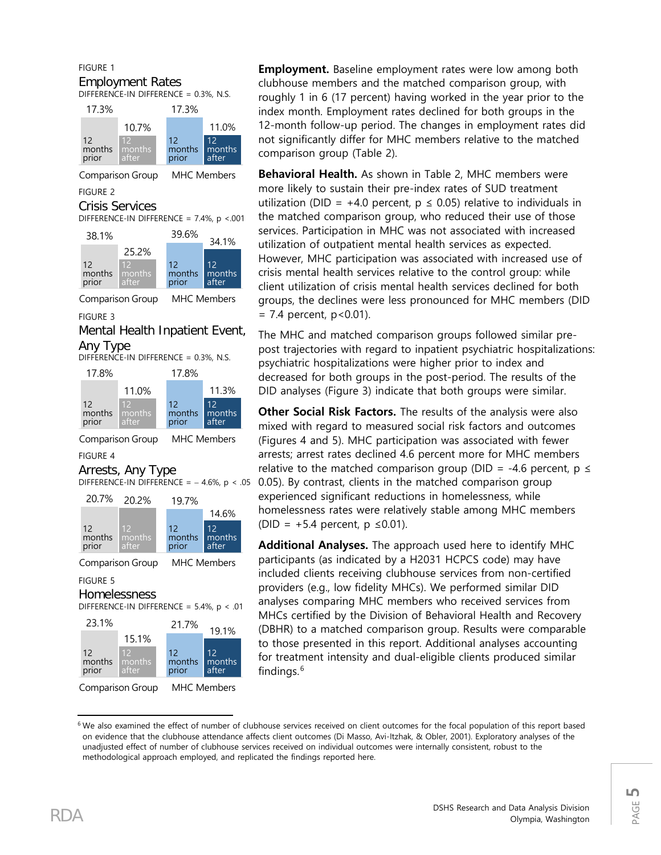#### FIGURE 1 Employment Rates DIFFERENCE-IN DIFFERENCE = 0.3%, N.S.



Comparison Group MHC Members FIGURE 2

### Crisis Services

DIFFERENCE-IN DIFFERENCE =  $7.4\%$ ,  $p < .001$ 



Comparison Group MHC Members

#### FIGURE 3

Mental Health Inpatient Event, Any Type







#### FIGURE 4

#### Arrests, Any Type





Comparison Group MHC Members

FIGURE 5

### Homelessness

DIFFERENCE-IN DIFFERENCE =  $5.4\%$ ,  $p < .01$ 



Comparison Group MHC Members

**Employment.** Baseline employment rates were low among both clubhouse members and the matched comparison group, with roughly 1 in 6 (17 percent) having worked in the year prior to the index month. Employment rates declined for both groups in the 12-month follow-up period. The changes in employment rates did not significantly differ for MHC members relative to the matched comparison group (Table 2).

**Behavioral Health.** As shown in Table 2, MHC members were more likely to sustain their pre-index rates of SUD treatment utilization (DID = +4.0 percent,  $p \le 0.05$ ) relative to individuals in the matched comparison group, who reduced their use of those services. Participation in MHC was not associated with increased utilization of outpatient mental health services as expected. However, MHC participation was associated with increased use of crisis mental health services relative to the control group: while client utilization of crisis mental health services declined for both groups, the declines were less pronounced for MHC members (DID  $= 7.4$  percent,  $p < 0.01$ ).

The MHC and matched comparison groups followed similar prepost trajectories with regard to inpatient psychiatric hospitalizations: psychiatric hospitalizations were higher prior to index and decreased for both groups in the post-period. The results of the DID analyses (Figure 3) indicate that both groups were similar.

**Other Social Risk Factors.** The results of the analysis were also mixed with regard to measured social risk factors and outcomes (Figures 4 and 5). MHC participation was associated with fewer arrests; arrest rates declined 4.6 percent more for MHC members relative to the matched comparison group (DID = -4.6 percent,  $p \le$ 0.05). By contrast, clients in the matched comparison group experienced significant reductions in homelessness, while homelessness rates were relatively stable among MHC members (DID =  $+5.4$  percent, p ≤0.01).

**Additional Analyses.** The approach used here to identify MHC participants (as indicated by a H2031 HCPCS code) may have included clients receiving clubhouse services from non-certified providers (e.g., low fidelity MHCs). We performed similar DID analyses comparing MHC members who received services from MHCs certified by the Division of Behavioral Health and Recovery (DBHR) to a matched comparison group. Results were comparable to those presented in this report. Additional analyses accounting for treatment intensity and dual-eligible clients produced similar findings. [6](#page-4-0)

l

<span id="page-4-0"></span><sup>6</sup> We also examined the effect of number of clubhouse services received on client outcomes for the focal population of this report based on evidence that the clubhouse attendance affects client outcomes (Di Masso, Avi-Itzhak, & Obler, 2001). Exploratory analyses of the unadjusted effect of number of clubhouse services received on individual outcomes were internally consistent, robust to the methodological approach employed, and replicated the findings reported here.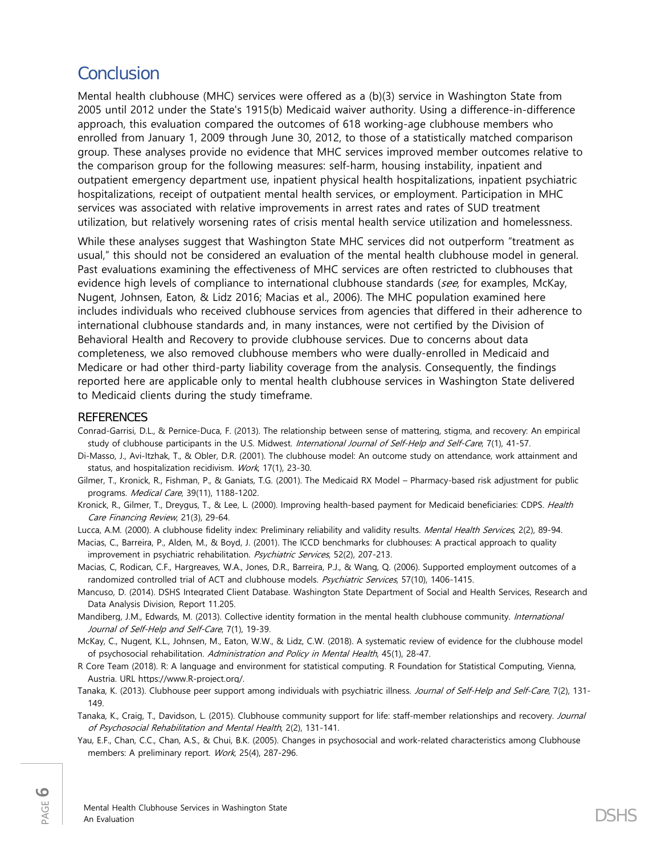## **Conclusion**

Mental health clubhouse (MHC) services were offered as a (b)(3) service in Washington State from 2005 until 2012 under the State's 1915(b) Medicaid waiver authority. Using a difference-in-difference approach, this evaluation compared the outcomes of 618 working-age clubhouse members who enrolled from January 1, 2009 through June 30, 2012, to those of a statistically matched comparison group. These analyses provide no evidence that MHC services improved member outcomes relative to the comparison group for the following measures: self-harm, housing instability, inpatient and outpatient emergency department use, inpatient physical health hospitalizations, inpatient psychiatric hospitalizations, receipt of outpatient mental health services, or employment. Participation in MHC services was associated with relative improvements in arrest rates and rates of SUD treatment utilization, but relatively worsening rates of crisis mental health service utilization and homelessness.

While these analyses suggest that Washington State MHC services did not outperform "treatment as usual," this should not be considered an evaluation of the mental health clubhouse model in general. Past evaluations examining the effectiveness of MHC services are often restricted to clubhouses that evidence high levels of compliance to international clubhouse standards (see, for examples, McKay, Nugent, Johnsen, Eaton, & Lidz 2016; Macias et al., 2006). The MHC population examined here includes individuals who received clubhouse services from agencies that differed in their adherence to international clubhouse standards and, in many instances, were not certified by the Division of Behavioral Health and Recovery to provide clubhouse services. Due to concerns about data completeness, we also removed clubhouse members who were dually-enrolled in Medicaid and Medicare or had other third-party liability coverage from the analysis. Consequently, the findings reported here are applicable only to mental health clubhouse services in Washington State delivered to Medicaid clients during the study timeframe.

#### **REFERENCES**

Conrad-Garrisi, D.L., & Pernice-Duca, F. (2013). The relationship between sense of mattering, stigma, and recovery: An empirical study of clubhouse participants in the U.S. Midwest. International Journal of Self-Help and Self-Care, 7(1), 41-57.

Di-Masso, J., Avi-Itzhak, T., & Obler, D.R. (2001). The clubhouse model: An outcome study on attendance, work attainment and status, and hospitalization recidivism. Work, 17(1), 23-30.

- Gilmer, T., Kronick, R., Fishman, P., & Ganiats, T.G. (2001). The Medicaid RX Model Pharmacy-based risk adjustment for public programs. Medical Care, 39(11), 1188-1202.
- Kronick, R., Gilmer, T., Dreygus, T., & Lee, L. (2000). Improving health-based payment for Medicaid beneficiaries: CDPS. Health Care Financing Review, 21(3), 29-64.

Lucca, A.M. (2000). A clubhouse fidelity index: Preliminary reliability and validity results. Mental Health Services, 2(2), 89-94.

Macias, C., Barreira, P., Alden, M., & Boyd, J. (2001). The ICCD benchmarks for clubhouses: A practical approach to quality improvement in psychiatric rehabilitation. *Psychiatric Services*, 52(2), 207-213.

Macias, C, Rodican, C.F., Hargreaves, W.A., Jones, D.R., Barreira, P.J., & Wang, Q. (2006). Supported employment outcomes of a randomized controlled trial of ACT and clubhouse models. Psychiatric Services, 57(10), 1406-1415.

- Mancuso, D. (2014). DSHS Integrated Client Database. Washington State Department of Social and Health Services, Research and Data Analysis Division, Report 11.205.
- Mandiberg, J.M., Edwards, M. (2013). Collective identity formation in the mental health clubhouse community. International Journal of Self-Help and Self-Care, 7(1), 19-39.

McKay, C., Nugent, K.L., Johnsen, M., Eaton, W.W., & Lidz, C.W. (2018). A systematic review of evidence for the clubhouse model of psychosocial rehabilitation. Administration and Policy in Mental Health, 45(1), 28-47.

R Core Team (2018). R: A language and environment for statistical computing. R Foundation for Statistical Computing, Vienna, Austria. URL https://www.R-project.org/.

Tanaka, K. (2013). Clubhouse peer support among individuals with psychiatric illness. Journal of Self-Help and Self-Care, 7(2), 131-149.

Tanaka, K., Craig, T., Davidson, L. (2015). Clubhouse community support for life: staff-member relationships and recovery. Journal of Psychosocial Rehabilitation and Mental Health, 2(2), 131-141.

Yau, E.F., Chan, C.C., Chan, A.S., & Chui, B.K. (2005). Changes in psychosocial and work-related characteristics among Clubhouse members: A preliminary report. Work, 25(4), 287-296.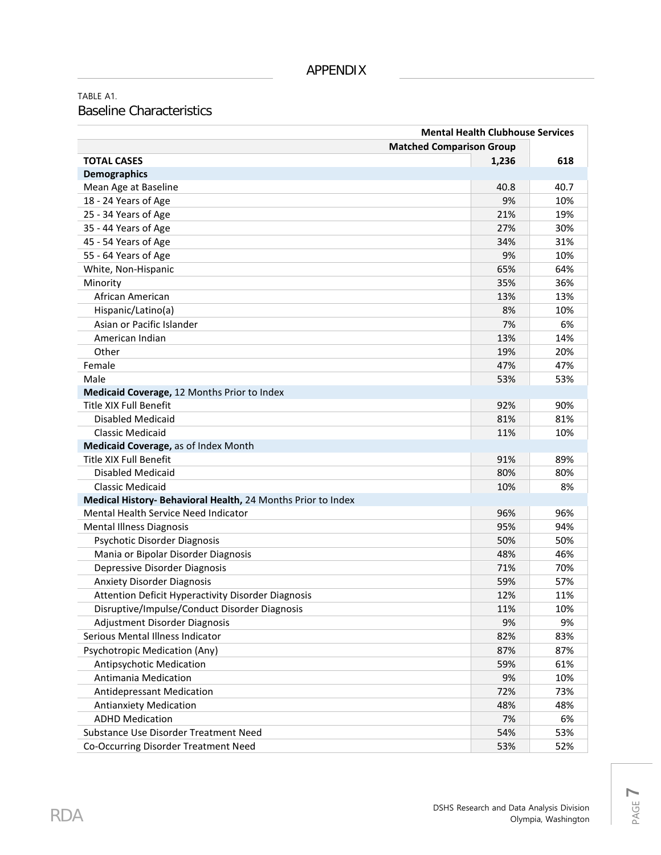TABLE A1. Baseline Characteristics

| <b>Matched Comparison Group</b><br><b>TOTAL CASES</b><br>1,236<br>618<br><b>Demographics</b><br>Mean Age at Baseline<br>40.8<br>40.7<br>18 - 24 Years of Age<br>9%<br>10%<br>19%<br>25 - 34 Years of Age<br>21%<br>35 - 44 Years of Age<br>27%<br>30%<br>45 - 54 Years of Age<br>34%<br>31%<br>55 - 64 Years of Age<br>9%<br>10%<br>White, Non-Hispanic<br>65%<br>64%<br>35%<br>36%<br>Minority<br>African American<br>13%<br>13%<br>Hispanic/Latino(a)<br>8%<br>10%<br>Asian or Pacific Islander<br>7%<br>6%<br>American Indian<br>13%<br>14%<br>Other<br>19%<br>20%<br>Female<br>47%<br>47%<br>Male<br>53%<br>53% |
|---------------------------------------------------------------------------------------------------------------------------------------------------------------------------------------------------------------------------------------------------------------------------------------------------------------------------------------------------------------------------------------------------------------------------------------------------------------------------------------------------------------------------------------------------------------------------------------------------------------------|
|                                                                                                                                                                                                                                                                                                                                                                                                                                                                                                                                                                                                                     |
|                                                                                                                                                                                                                                                                                                                                                                                                                                                                                                                                                                                                                     |
|                                                                                                                                                                                                                                                                                                                                                                                                                                                                                                                                                                                                                     |
|                                                                                                                                                                                                                                                                                                                                                                                                                                                                                                                                                                                                                     |
|                                                                                                                                                                                                                                                                                                                                                                                                                                                                                                                                                                                                                     |
|                                                                                                                                                                                                                                                                                                                                                                                                                                                                                                                                                                                                                     |
|                                                                                                                                                                                                                                                                                                                                                                                                                                                                                                                                                                                                                     |
|                                                                                                                                                                                                                                                                                                                                                                                                                                                                                                                                                                                                                     |
|                                                                                                                                                                                                                                                                                                                                                                                                                                                                                                                                                                                                                     |
|                                                                                                                                                                                                                                                                                                                                                                                                                                                                                                                                                                                                                     |
|                                                                                                                                                                                                                                                                                                                                                                                                                                                                                                                                                                                                                     |
|                                                                                                                                                                                                                                                                                                                                                                                                                                                                                                                                                                                                                     |
|                                                                                                                                                                                                                                                                                                                                                                                                                                                                                                                                                                                                                     |
|                                                                                                                                                                                                                                                                                                                                                                                                                                                                                                                                                                                                                     |
|                                                                                                                                                                                                                                                                                                                                                                                                                                                                                                                                                                                                                     |
|                                                                                                                                                                                                                                                                                                                                                                                                                                                                                                                                                                                                                     |
|                                                                                                                                                                                                                                                                                                                                                                                                                                                                                                                                                                                                                     |
|                                                                                                                                                                                                                                                                                                                                                                                                                                                                                                                                                                                                                     |
| Medicaid Coverage, 12 Months Prior to Index                                                                                                                                                                                                                                                                                                                                                                                                                                                                                                                                                                         |
| <b>Title XIX Full Benefit</b><br>92%<br>90%                                                                                                                                                                                                                                                                                                                                                                                                                                                                                                                                                                         |
| <b>Disabled Medicaid</b><br>81%<br>81%                                                                                                                                                                                                                                                                                                                                                                                                                                                                                                                                                                              |
| <b>Classic Medicaid</b><br>11%<br>10%                                                                                                                                                                                                                                                                                                                                                                                                                                                                                                                                                                               |
| Medicaid Coverage, as of Index Month                                                                                                                                                                                                                                                                                                                                                                                                                                                                                                                                                                                |
| <b>Title XIX Full Benefit</b><br>91%<br>89%                                                                                                                                                                                                                                                                                                                                                                                                                                                                                                                                                                         |
| Disabled Medicaid<br>80%<br>80%                                                                                                                                                                                                                                                                                                                                                                                                                                                                                                                                                                                     |
| <b>Classic Medicaid</b><br>10%<br>8%                                                                                                                                                                                                                                                                                                                                                                                                                                                                                                                                                                                |
| Medical History- Behavioral Health, 24 Months Prior to Index                                                                                                                                                                                                                                                                                                                                                                                                                                                                                                                                                        |
| Mental Health Service Need Indicator<br>96%<br>96%                                                                                                                                                                                                                                                                                                                                                                                                                                                                                                                                                                  |
| 95%<br><b>Mental Illness Diagnosis</b><br>94%                                                                                                                                                                                                                                                                                                                                                                                                                                                                                                                                                                       |
| Psychotic Disorder Diagnosis<br>50%<br>50%                                                                                                                                                                                                                                                                                                                                                                                                                                                                                                                                                                          |
| Mania or Bipolar Disorder Diagnosis<br>48%<br>46%                                                                                                                                                                                                                                                                                                                                                                                                                                                                                                                                                                   |
| Depressive Disorder Diagnosis<br>71%<br>70%                                                                                                                                                                                                                                                                                                                                                                                                                                                                                                                                                                         |
| 59%<br>57%<br><b>Anxiety Disorder Diagnosis</b>                                                                                                                                                                                                                                                                                                                                                                                                                                                                                                                                                                     |
| Attention Deficit Hyperactivity Disorder Diagnosis<br>11%<br>12%                                                                                                                                                                                                                                                                                                                                                                                                                                                                                                                                                    |
| Disruptive/Impulse/Conduct Disorder Diagnosis<br>11%<br>10%                                                                                                                                                                                                                                                                                                                                                                                                                                                                                                                                                         |
| 9%<br>9%<br>Adjustment Disorder Diagnosis                                                                                                                                                                                                                                                                                                                                                                                                                                                                                                                                                                           |
| Serious Mental Illness Indicator<br>82%<br>83%                                                                                                                                                                                                                                                                                                                                                                                                                                                                                                                                                                      |
| Psychotropic Medication (Any)<br>87%<br>87%                                                                                                                                                                                                                                                                                                                                                                                                                                                                                                                                                                         |
| Antipsychotic Medication<br>59%<br>61%                                                                                                                                                                                                                                                                                                                                                                                                                                                                                                                                                                              |
| Antimania Medication<br>9%<br>10%                                                                                                                                                                                                                                                                                                                                                                                                                                                                                                                                                                                   |
| <b>Antidepressant Medication</b><br>72%<br>73%                                                                                                                                                                                                                                                                                                                                                                                                                                                                                                                                                                      |
| <b>Antianxiety Medication</b><br>48%<br>48%                                                                                                                                                                                                                                                                                                                                                                                                                                                                                                                                                                         |
| <b>ADHD Medication</b><br>6%<br>7%                                                                                                                                                                                                                                                                                                                                                                                                                                                                                                                                                                                  |
| Substance Use Disorder Treatment Need<br>54%<br>53%                                                                                                                                                                                                                                                                                                                                                                                                                                                                                                                                                                 |
| Co-Occurring Disorder Treatment Need<br>53%<br>52%                                                                                                                                                                                                                                                                                                                                                                                                                                                                                                                                                                  |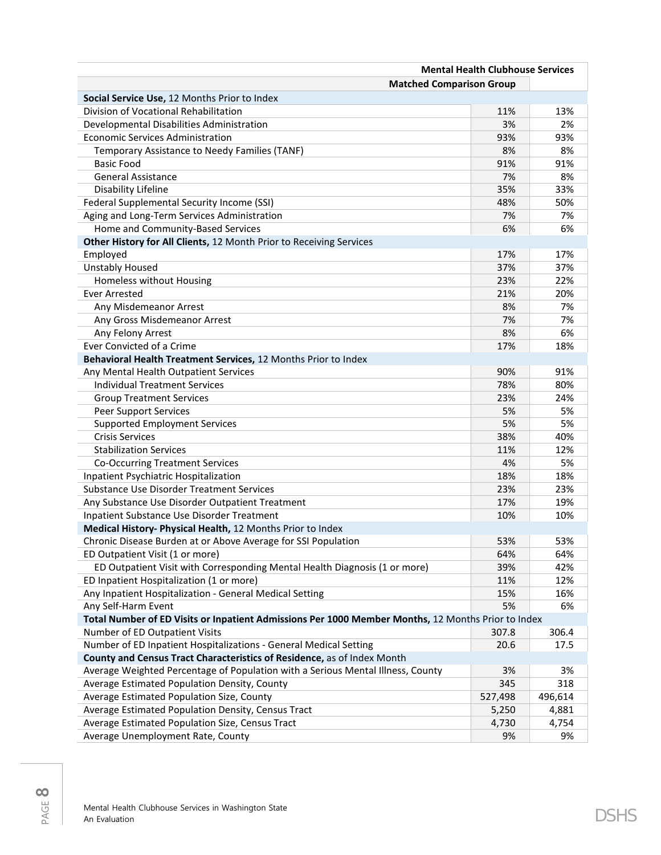|                                                                                                    | <b>Mental Health Clubhouse Services</b> |         |  |  |  |
|----------------------------------------------------------------------------------------------------|-----------------------------------------|---------|--|--|--|
| <b>Matched Comparison Group</b>                                                                    |                                         |         |  |  |  |
| Social Service Use, 12 Months Prior to Index                                                       |                                         |         |  |  |  |
| Division of Vocational Rehabilitation                                                              | 11%                                     | 13%     |  |  |  |
| Developmental Disabilities Administration                                                          | 3%                                      | 2%      |  |  |  |
| Economic Services Administration                                                                   | 93%                                     | 93%     |  |  |  |
| Temporary Assistance to Needy Families (TANF)                                                      | 8%                                      | 8%      |  |  |  |
| <b>Basic Food</b>                                                                                  | 91%                                     | 91%     |  |  |  |
| <b>General Assistance</b>                                                                          | 7%                                      | 8%      |  |  |  |
| Disability Lifeline                                                                                | 35%                                     | 33%     |  |  |  |
| Federal Supplemental Security Income (SSI)                                                         | 48%                                     | 50%     |  |  |  |
| Aging and Long-Term Services Administration                                                        | 7%                                      | 7%      |  |  |  |
| Home and Community-Based Services                                                                  | 6%                                      | 6%      |  |  |  |
| Other History for All Clients, 12 Month Prior to Receiving Services                                |                                         |         |  |  |  |
| Employed                                                                                           | 17%                                     | 17%     |  |  |  |
| <b>Unstably Housed</b>                                                                             | 37%                                     | 37%     |  |  |  |
| Homeless without Housing                                                                           | 23%                                     | 22%     |  |  |  |
| <b>Ever Arrested</b>                                                                               | 21%                                     | 20%     |  |  |  |
| Any Misdemeanor Arrest                                                                             | 8%                                      | 7%      |  |  |  |
| Any Gross Misdemeanor Arrest                                                                       | 7%                                      | 7%      |  |  |  |
| Any Felony Arrest                                                                                  | 8%                                      | 6%      |  |  |  |
| Ever Convicted of a Crime                                                                          | 17%                                     | 18%     |  |  |  |
| Behavioral Health Treatment Services, 12 Months Prior to Index                                     |                                         |         |  |  |  |
| Any Mental Health Outpatient Services                                                              | 90%                                     | 91%     |  |  |  |
| <b>Individual Treatment Services</b>                                                               | 78%                                     | 80%     |  |  |  |
| <b>Group Treatment Services</b>                                                                    | 23%                                     | 24%     |  |  |  |
| <b>Peer Support Services</b>                                                                       | 5%                                      | 5%      |  |  |  |
| <b>Supported Employment Services</b>                                                               | 5%                                      | 5%      |  |  |  |
| <b>Crisis Services</b>                                                                             | 38%                                     | 40%     |  |  |  |
| <b>Stabilization Services</b>                                                                      | 11%                                     | 12%     |  |  |  |
| <b>Co-Occurring Treatment Services</b>                                                             | 4%                                      | 5%      |  |  |  |
| Inpatient Psychiatric Hospitalization                                                              | 18%                                     | 18%     |  |  |  |
| <b>Substance Use Disorder Treatment Services</b>                                                   | 23%                                     | 23%     |  |  |  |
| Any Substance Use Disorder Outpatient Treatment                                                    | 17%                                     | 19%     |  |  |  |
| Inpatient Substance Use Disorder Treatment                                                         | 10%                                     | 10%     |  |  |  |
| Medical History- Physical Health, 12 Months Prior to Index                                         |                                         |         |  |  |  |
| Chronic Disease Burden at or Above Average for SSI Population                                      | 53%                                     | 53%     |  |  |  |
| ED Outpatient Visit (1 or more)                                                                    | 64%                                     | 64%     |  |  |  |
| ED Outpatient Visit with Corresponding Mental Health Diagnosis (1 or more)                         | 39%                                     | 42%     |  |  |  |
| ED Inpatient Hospitalization (1 or more)                                                           | 11%                                     | 12%     |  |  |  |
| Any Inpatient Hospitalization - General Medical Setting                                            | 15%                                     | 16%     |  |  |  |
| Any Self-Harm Event                                                                                | 5%                                      | 6%      |  |  |  |
| Total Number of ED Visits or Inpatient Admissions Per 1000 Member Months, 12 Months Prior to Index |                                         |         |  |  |  |
| Number of ED Outpatient Visits                                                                     | 307.8                                   | 306.4   |  |  |  |
| Number of ED Inpatient Hospitalizations - General Medical Setting                                  | 20.6                                    | 17.5    |  |  |  |
| County and Census Tract Characteristics of Residence, as of Index Month                            |                                         |         |  |  |  |
| Average Weighted Percentage of Population with a Serious Mental Illness, County                    | 3%                                      | 3%      |  |  |  |
| Average Estimated Population Density, County                                                       | 345                                     | 318     |  |  |  |
| Average Estimated Population Size, County                                                          | 527,498                                 | 496,614 |  |  |  |
| Average Estimated Population Density, Census Tract                                                 | 5,250                                   | 4,881   |  |  |  |
| Average Estimated Population Size, Census Tract                                                    | 4,730                                   | 4,754   |  |  |  |
| Average Unemployment Rate, County                                                                  | 9%                                      | 9%      |  |  |  |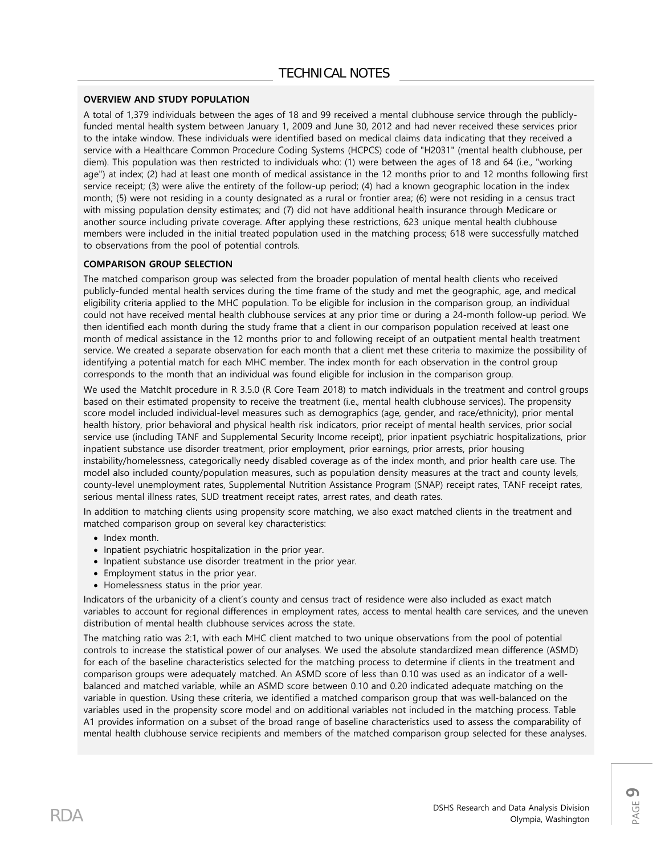#### **OVERVIEW AND STUDY POPULATION**

A total of 1,379 individuals between the ages of 18 and 99 received a mental clubhouse service through the publiclyfunded mental health system between January 1, 2009 and June 30, 2012 and had never received these services prior to the intake window. These individuals were identified based on medical claims data indicating that they received a service with a Healthcare Common Procedure Coding Systems (HCPCS) code of "H2031" (mental health clubhouse, per diem). This population was then restricted to individuals who: (1) were between the ages of 18 and 64 (i.e., "working age") at index; (2) had at least one month of medical assistance in the 12 months prior to and 12 months following first service receipt; (3) were alive the entirety of the follow-up period; (4) had a known geographic location in the index month; (5) were not residing in a county designated as a rural or frontier area; (6) were not residing in a census tract with missing population density estimates; and (7) did not have additional health insurance through Medicare or another source including private coverage. After applying these restrictions, 623 unique mental health clubhouse members were included in the initial treated population used in the matching process; 618 were successfully matched to observations from the pool of potential controls.

#### **COMPARISON GROUP SELECTION**

The matched comparison group was selected from the broader population of mental health clients who received publicly-funded mental health services during the time frame of the study and met the geographic, age, and medical eligibility criteria applied to the MHC population. To be eligible for inclusion in the comparison group, an individual could not have received mental health clubhouse services at any prior time or during a 24-month follow-up period. We then identified each month during the study frame that a client in our comparison population received at least one month of medical assistance in the 12 months prior to and following receipt of an outpatient mental health treatment service. We created a separate observation for each month that a client met these criteria to maximize the possibility of identifying a potential match for each MHC member. The index month for each observation in the control group corresponds to the month that an individual was found eligible for inclusion in the comparison group.

We used the MatchIt procedure in R 3.5.0 (R Core Team 2018) to match individuals in the treatment and control groups based on their estimated propensity to receive the treatment (i.e., mental health clubhouse services). The propensity score model included individual-level measures such as demographics (age, gender, and race/ethnicity), prior mental health history, prior behavioral and physical health risk indicators, prior receipt of mental health services, prior social service use (including TANF and Supplemental Security Income receipt), prior inpatient psychiatric hospitalizations, prior inpatient substance use disorder treatment, prior employment, prior earnings, prior arrests, prior housing instability/homelessness, categorically needy disabled coverage as of the index month, and prior health care use. The model also included county/population measures, such as population density measures at the tract and county levels, county-level unemployment rates, Supplemental Nutrition Assistance Program (SNAP) receipt rates, TANF receipt rates, serious mental illness rates, SUD treatment receipt rates, arrest rates, and death rates.

In addition to matching clients using propensity score matching, we also exact matched clients in the treatment and matched comparison group on several key characteristics:

- Index month.
- Inpatient psychiatric hospitalization in the prior year.
- Inpatient substance use disorder treatment in the prior year.
- Employment status in the prior year.
- Homelessness status in the prior year.

Indicators of the urbanicity of a client's county and census tract of residence were also included as exact match variables to account for regional differences in employment rates, access to mental health care services, and the uneven distribution of mental health clubhouse services across the state.

The matching ratio was 2:1, with each MHC client matched to two unique observations from the pool of potential controls to increase the statistical power of our analyses. We used the absolute standardized mean difference (ASMD) for each of the baseline characteristics selected for the matching process to determine if clients in the treatment and comparison groups were adequately matched. An ASMD score of less than 0.10 was used as an indicator of a wellbalanced and matched variable, while an ASMD score between 0.10 and 0.20 indicated adequate matching on the variable in question. Using these criteria, we identified a matched comparison group that was well-balanced on the variables used in the propensity score model and on additional variables not included in the matching process. Table A1 provides information on a subset of the broad range of baseline characteristics used to assess the comparability of mental health clubhouse service recipients and members of the matched comparison group selected for these analyses.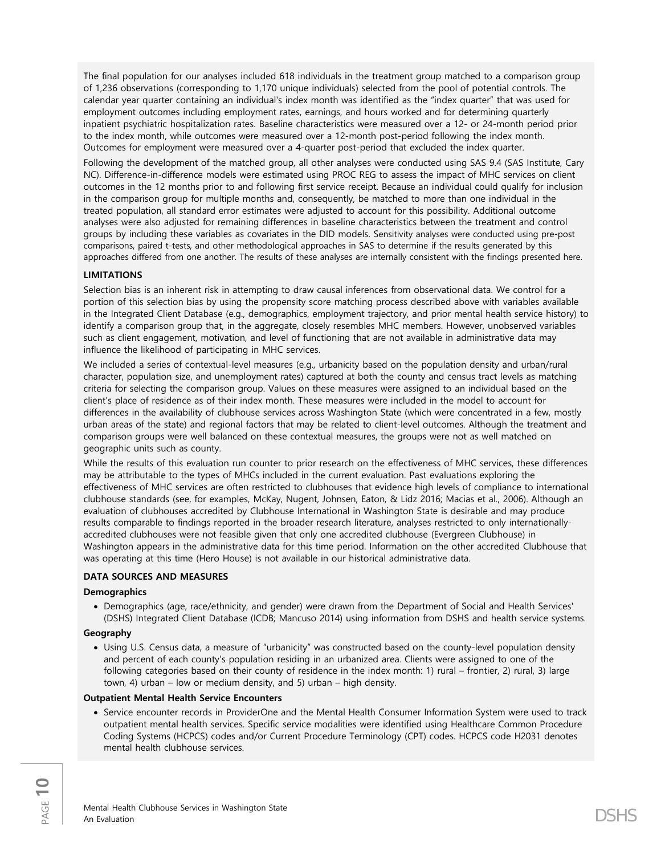The final population for our analyses included 618 individuals in the treatment group matched to a comparison group of 1,236 observations (corresponding to 1,170 unique individuals) selected from the pool of potential controls. The calendar year quarter containing an individual's index month was identified as the "index quarter" that was used for employment outcomes including employment rates, earnings, and hours worked and for determining quarterly inpatient psychiatric hospitalization rates. Baseline characteristics were measured over a 12- or 24-month period prior to the index month, while outcomes were measured over a 12-month post-period following the index month. Outcomes for employment were measured over a 4-quarter post-period that excluded the index quarter.

Following the development of the matched group, all other analyses were conducted using SAS 9.4 (SAS Institute, Cary NC). Difference-in-difference models were estimated using PROC REG to assess the impact of MHC services on client outcomes in the 12 months prior to and following first service receipt. Because an individual could qualify for inclusion in the comparison group for multiple months and, consequently, be matched to more than one individual in the treated population, all standard error estimates were adjusted to account for this possibility. Additional outcome analyses were also adjusted for remaining differences in baseline characteristics between the treatment and control groups by including these variables as covariates in the DID models. Sensitivity analyses were conducted using pre-post comparisons, paired t-tests, and other methodological approaches in SAS to determine if the results generated by this approaches differed from one another. The results of these analyses are internally consistent with the findings presented here.

#### **LIMITATIONS**

Selection bias is an inherent risk in attempting to draw causal inferences from observational data. We control for a portion of this selection bias by using the propensity score matching process described above with variables available in the Integrated Client Database (e.g., demographics, employment trajectory, and prior mental health service history) to identify a comparison group that, in the aggregate, closely resembles MHC members. However, unobserved variables such as client engagement, motivation, and level of functioning that are not available in administrative data may influence the likelihood of participating in MHC services.

We included a series of contextual-level measures (e.g., urbanicity based on the population density and urban/rural character, population size, and unemployment rates) captured at both the county and census tract levels as matching criteria for selecting the comparison group. Values on these measures were assigned to an individual based on the client's place of residence as of their index month. These measures were included in the model to account for differences in the availability of clubhouse services across Washington State (which were concentrated in a few, mostly urban areas of the state) and regional factors that may be related to client-level outcomes. Although the treatment and comparison groups were well balanced on these contextual measures, the groups were not as well matched on geographic units such as county.

While the results of this evaluation run counter to prior research on the effectiveness of MHC services, these differences may be attributable to the types of MHCs included in the current evaluation. Past evaluations exploring the effectiveness of MHC services are often restricted to clubhouses that evidence high levels of compliance to international clubhouse standards (see, for examples, McKay, Nugent, Johnsen, Eaton, & Lidz 2016; Macias et al., 2006). Although an evaluation of clubhouses accredited by Clubhouse International in Washington State is desirable and may produce results comparable to findings reported in the broader research literature, analyses restricted to only internationallyaccredited clubhouses were not feasible given that only one accredited clubhouse (Evergreen Clubhouse) in Washington appears in the administrative data for this time period. Information on the other accredited Clubhouse that was operating at this time (Hero House) is not available in our historical administrative data.

#### **DATA SOURCES AND MEASURES**

#### **Demographics**

• Demographics (age, race/ethnicity, and gender) were drawn from the Department of Social and Health Services' (DSHS) Integrated Client Database (ICDB; Mancuso 2014) using information from DSHS and health service systems.

#### **Geography**

• Using U.S. Census data, a measure of "urbanicity" was constructed based on the county-level population density and percent of each county's population residing in an urbanized area. Clients were assigned to one of the following categories based on their county of residence in the index month: 1) rural – frontier, 2) rural, 3) large town, 4) urban – low or medium density, and 5) urban – high density.

#### **Outpatient Mental Health Service Encounters**

• Service encounter records in ProviderOne and the Mental Health Consumer Information System were used to track outpatient mental health services. Specific service modalities were identified using Healthcare Common Procedure Coding Systems (HCPCS) codes and/or Current Procedure Terminology (CPT) codes. HCPCS code H2031 denotes mental health clubhouse services.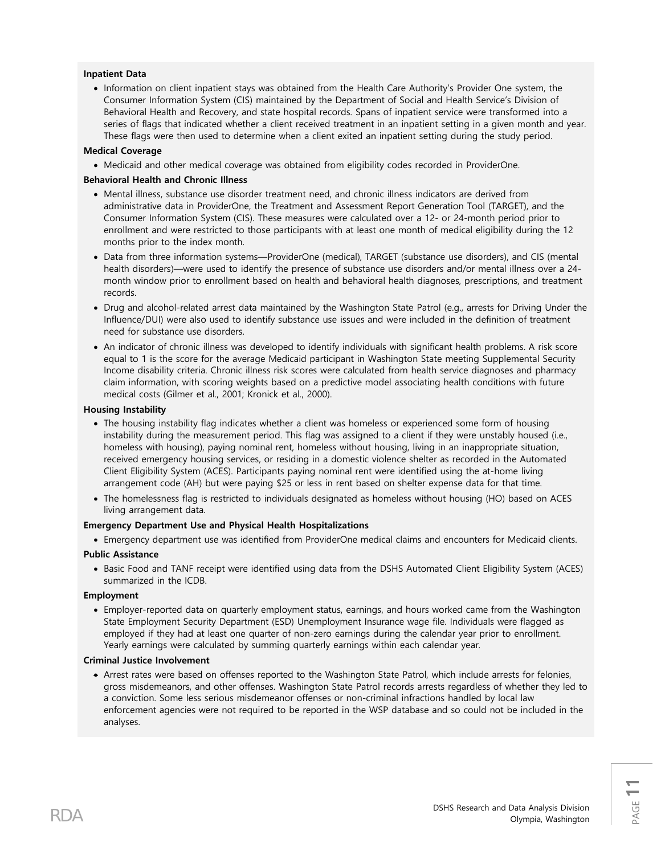#### **Inpatient Data**

• Information on client inpatient stays was obtained from the Health Care Authority's Provider One system, the Consumer Information System (CIS) maintained by the Department of Social and Health Service's Division of Behavioral Health and Recovery, and state hospital records. Spans of inpatient service were transformed into a series of flags that indicated whether a client received treatment in an inpatient setting in a given month and year. These flags were then used to determine when a client exited an inpatient setting during the study period.

#### **Medical Coverage**

• Medicaid and other medical coverage was obtained from eligibility codes recorded in ProviderOne.

#### **Behavioral Health and Chronic Illness**

- Mental illness, substance use disorder treatment need, and chronic illness indicators are derived from administrative data in ProviderOne, the Treatment and Assessment Report Generation Tool (TARGET), and the Consumer Information System (CIS). These measures were calculated over a 12- or 24-month period prior to enrollment and were restricted to those participants with at least one month of medical eligibility during the 12 months prior to the index month.
- Data from three information systems—ProviderOne (medical), TARGET (substance use disorders), and CIS (mental health disorders)—were used to identify the presence of substance use disorders and/or mental illness over a 24 month window prior to enrollment based on health and behavioral health diagnoses, prescriptions, and treatment records.
- Drug and alcohol-related arrest data maintained by the Washington State Patrol (e.g., arrests for Driving Under the Influence/DUI) were also used to identify substance use issues and were included in the definition of treatment need for substance use disorders.
- An indicator of chronic illness was developed to identify individuals with significant health problems. A risk score equal to 1 is the score for the average Medicaid participant in Washington State meeting Supplemental Security Income disability criteria. Chronic illness risk scores were calculated from health service diagnoses and pharmacy claim information, with scoring weights based on a predictive model associating health conditions with future medical costs (Gilmer et al., 2001; Kronick et al., 2000).

#### **Housing Instability**

- The housing instability flag indicates whether a client was homeless or experienced some form of housing instability during the measurement period. This flag was assigned to a client if they were unstably housed (i.e., homeless with housing), paying nominal rent, homeless without housing, living in an inappropriate situation, received emergency housing services, or residing in a domestic violence shelter as recorded in the Automated Client Eligibility System (ACES). Participants paying nominal rent were identified using the at-home living arrangement code (AH) but were paying \$25 or less in rent based on shelter expense data for that time.
- The homelessness flag is restricted to individuals designated as homeless without housing (HO) based on ACES living arrangement data.

#### **Emergency Department Use and Physical Health Hospitalizations**

• Emergency department use was identified from ProviderOne medical claims and encounters for Medicaid clients.

#### **Public Assistance**

• Basic Food and TANF receipt were identified using data from the DSHS Automated Client Eligibility System (ACES) summarized in the ICDB.

#### **Employment**

• Employer-reported data on quarterly employment status, earnings, and hours worked came from the Washington State Employment Security Department (ESD) Unemployment Insurance wage file. Individuals were flagged as employed if they had at least one quarter of non-zero earnings during the calendar year prior to enrollment. Yearly earnings were calculated by summing quarterly earnings within each calendar year.

#### **Criminal Justice Involvement**

• Arrest rates were based on offenses reported to the Washington State Patrol, which include arrests for felonies, gross misdemeanors, and other offenses. Washington State Patrol records arrests regardless of whether they led to a conviction. Some less serious misdemeanor offenses or non-criminal infractions handled by local law enforcement agencies were not required to be reported in the WSP database and so could not be included in the analyses.